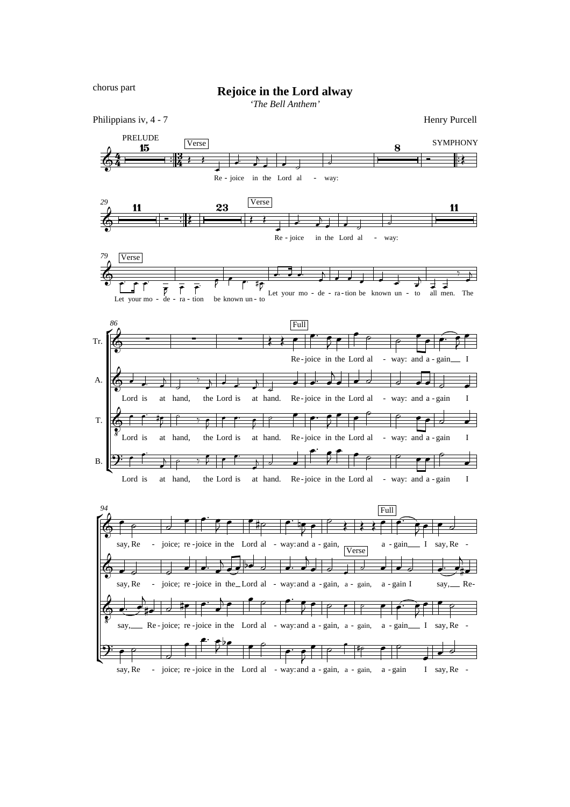chorus part

## **Rejoice in the Lord alway**

*'The Bell Anthem'*

4  $\frac{4}{4}$ Philippians iv, 4 - 7 Henry Purcell  $\frac{1}{2}$  $\frac{13}{4}$  PRELUDE  $\overline{\textbf{15}}$  Verse ₹ Re  $\overline{\phantom{a}}$ - joice in the Lord al J  $\overline{\phantom{a}}$  $\overline{1}$  $\overline{\phantom{a}}$  $\overline{\phantom{a}}$  $\overline{z}$ way:  $\frac{1}{2}$ -  $\frac{8}{\sqrt{1-\frac{1}{2}}}$ **SYMPHONY** ≹ *29*  $\&$   $\frac{1}{\circ}$   $\qquad$   $\qquad$   $\cdot$   $\qquad$ <u>11</u>  $\mathbb{R}$  $23$  Verse ₹ Re  $\overline{\phantom{a}}$ - joice J. in the Lord al  $\overline{\phantom{a}}$ ŗ  $\overline{\phantom{a}}$  $\overline{\phantom{a}}$  $\overline{\mathcal{L}}$ - way:  $\overline{\phantom{a}}$ 11 *79* ₹ Let your mo Verse  $\frac{1}{\epsilon}$ - de - ra - tion  $\overline{\rho}$  $\frac{1}{\sqrt{\beta}}$   $\frac{1}{\beta}$  $\bar{r}$ |<br>|- tion be known un - to Let ,  $\overline{\phantom{a}}$ ١ŋ P your mo - de - ra-tion be known un - to all  $\overline{a}$ .  $\overline{a}$   $\overline{a}$ .  $\downarrow$  $\overline{\phantom{a}}$  $\overline{\phantom{a}}$  $\overline{\phantom{a}}$  $\overline{\phantom{a}}$ Į.  $\begin{array}{ccc} \uparrow & & \uparrow \\ \downarrow & \downarrow & \downarrow \\ \downarrow & \downarrow & \downarrow \end{array}$  The  $\overline{y}$  $\overline{\phantom{a}}$  $\overline{b}$ *86* Tr. A. T. B. Ě ľ  $\& \qquad \qquad \bullet$  - - - : Re -joice in the Lord al Full  $\overline{\phantom{0}}$ **p**:  $\overline{\mathbf{f}}$ ₹  $\overline{\phantom{0}}$ e  $\overline{P}$ - way: and a - gain  $\overline{\epsilon}$  $\bullet$  $\sigma$ air  $\frac{1}{\sqrt{2}}$ ₹  $\bullet$  $\Phi$ Lord is  $\overline{\phantom{a}}$  $\downarrow$ at  $\overline{\phantom{a}}$ ĺ hand,  $\overline{\phantom{a}}$ the Lord is  $\overline{\phantom{a}}$  $\overline{1}$  $\frac{1}{\epsilon}$ J at hand.  $\overline{\phantom{a}}$ Ī.  $\frac{1}{2}$ Re - joice in the Lord al  $\overline{\phantom{0}}$  $\frac{1}{\cdot}$  $\overline{\phantom{a}}$  $\overline{b}$  $\overline{\phantom{a}}$  $\overline{\phantom{0}}$  $\overline{a}$ - way: and a - gain I  $\overline{d}$  $\overrightarrow{\cdot}$  $\overline{\phantom{0}}$  $\Phi$ ?<br><sup>8</sup>Lord is ė  $\overline{\cdot}$ at hand, ie. ₹  $\frac{1}{\sqrt{2}}$ the Lord is  $\overline{\mathbf{r}}$ ₹  $\overline{\mathbf{e}-\mathbf{e}}$ at hand.  $\overline{\mathbf{r}}$ ₹  $\pm\epsilon$ Re-joice in the Lord al  $\overline{\phantom{a}}$  $\overline{\cdot}$  $\overline{\mathbf{r}}$ ₹ **P**  $\overline{\phantom{0}}$ e - way: and a - gain I  $\overline{P}$  $\left| \cdot \right|$  $\overline{\phantom{0}}$ <u>ີງ:</u> Lord is ė Ľ at hand,  $\overline{\phantom{a}}$  $\overline{1}$  $\rho \rightarrow$ the Lord is ŗ Ž ₽ I at hand. Re-joice in the Lord al - way: and a-gain I  $\frac{1}{2}$ Ĺ 才  $\overline{\phantom{0}}$ R ₹ e e  $\overline{\phantom{0}}$ ρ  $\left| \cdot \right|$  $\overline{\phantom{0}}$ *94* ŕ ľ  $\Phi$ say, Re ē  $\overline{P}$ - joice; re-joice in the Lord al - way: and a - gain,  $\exists$ r Ľ R ₹ e  $\bullet$  $#$  $\overline{\cdot}$ k<br>12 ₹  $\overline{\phantom{0}}$ ρ  $\frac{1}{2}$ a - gain Full  $\overline{\bullet}$  $\epsilon$  $\overline{\bullet}$ ₹ I  $\overline{\bullet}$ say, Re  $\overline{\phantom{0}}$  $\exists$ -  $\Phi$ say, Re  $\overline{\phantom{a}}$  $\exists$ - joice; re-joice in the Lord al - way: and a -gain, a - gain, a  $\exists$  $\overline{\phantom{a}}$  $\overline{\phantom{a}}$  $\overline{\phantom{a}}$ Ņ ₩  $\overline{d}$  $\overline{\phantom{a}}$  $\overline{a}$  $\overline{\phantom{a}}$  $\overline{\phantom{a}}$ Verse  $\overline{\phantom{a}}$ ᆿ  $\overline{\phantom{a}}$ - gain I  $\overline{\phantom{a}}$  $\overline{\phantom{a}}$ say, Re-  $\overline{a}$ ⋕┙  $\Phi$  say, Į. Re-joice; re-joice in the Lord al - way: and a - gain, a - gain, a  $\frac{1}{\epsilon}$ h ⋡•  $\overline{\partial}$ ‡e <u>..</u>  $\overline{\phantom{a}}$  $\overline{a}$ P  $\overline{\phantom{a}}$ p <u>..</u>  $\overline{\mathbf{f}}$ ₹ ē p P P  $\overline{\phantom{0}}$ - gain  $\epsilon$  $\tilde{\epsilon}$ ₹ I say, Re ē P  $\overline{\phantom{0}}$ - <u> 9:</u> say, Re  $\overline{\phantom{0}}$  $\overline{\phantom{0}}$ - joice; re-joice in the Lord al - way: and  $\exists$ e **e.**  $\mathbf{f}$ ₹ مط  $\bullet$ p  $\overline{\cdot}$  $\overline{\bullet}$ ₹ a - gain, a - gain, a r p ė .<br>HP Ē - gain I ρ  $\overline{\phantom{0}}$ say, Re - $\overline{\phantom{a}}$  $\overline{d}$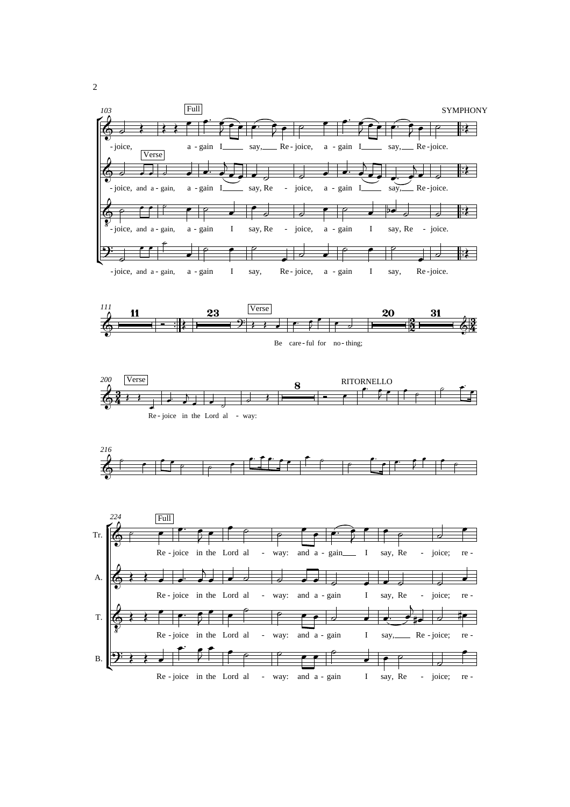



Be care-ful for no-thing;







2